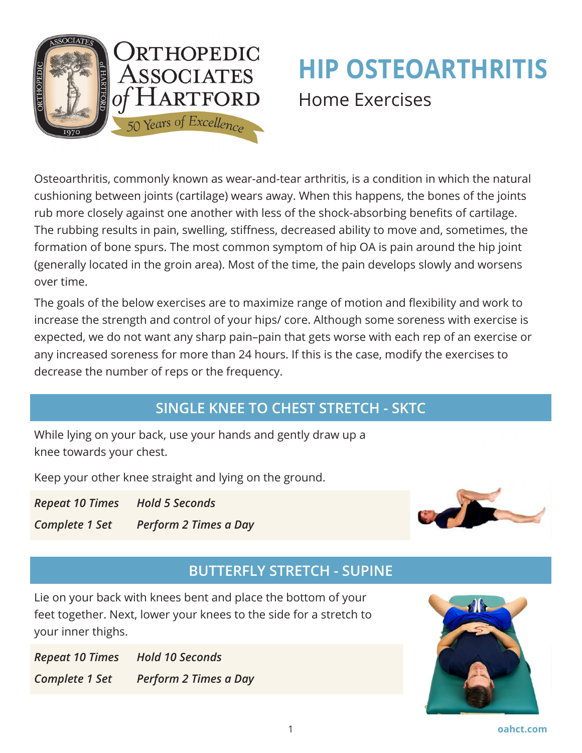

# **HIP OSTEOARTHRITIS** Home Exercises

Osteoarthritis, commonly known as wear-and-tear arthritis, is a condition in which the natural cushioning between joints (cartilage) wears away. When this happens, the bones of the joints rub more closely against one another with less of the shock-absorbing benefits of cartilage. The rubbing results in pain, swelling, stiffness, decreased ability to move and, sometimes, the formation of bone spurs. The most common symptom of hip OA is pain around the hip joint (generally located in the groin area). Most of the time, the pain develops slowly and worsens over time.

The goals of the below exercises are to maximize range of motion and flexibility and work to increase the strength and control of your hips/ core. Although some soreness with exercise is expected, we do not want any sharp pain–pain that gets worse with each rep of an exercise or any increased soreness for more than 24 hours. If this is the case, modify the exercises to decrease the number of reps or the frequency.

# **SINGLE KNEE TO CHEST STRETCH - SKTC**

While lying on your back, use your hands and gently draw up a knee towards your chest.

Keep your other knee straight and lying on the ground.

*Repeat 10 Times Hold 5 Seconds*

*Complete 1 Set Perform 2 Times a Day*



# **BUTTERFLY STRETCH - SUPINE**

Lie on your back with knees bent and place the bottom of your feet together. Next, lower your knees to the side for a stretch to your inner thighs.

*Repeat 10 Times Hold 10 Seconds Complete 1 Set Perform 2 Times a Day*

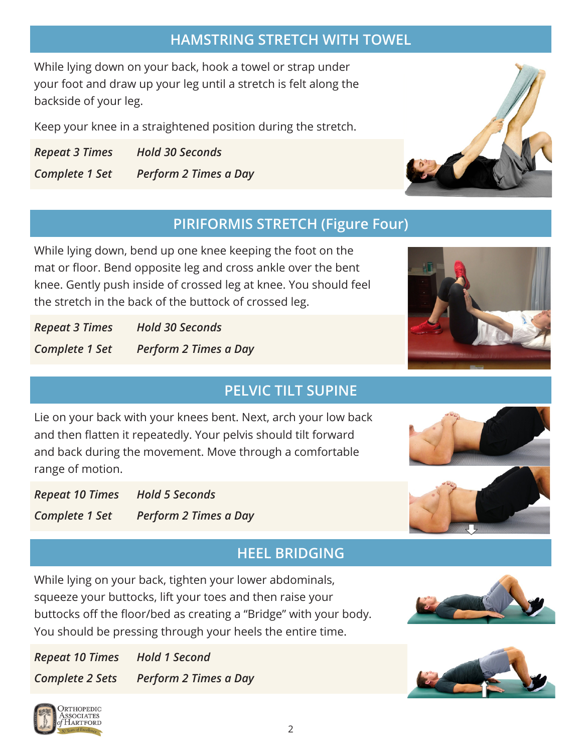## **HAMSTRING STRETCH WITH TOWEL**

While lying down on your back, hook a towel or strap under your foot and draw up your leg until a stretch is felt along the backside of your leg.

Keep your knee in a straightened position during the stretch.

*Repeat 3 Times Hold 30 Seconds Complete 1 Set Perform 2 Times a Day*

## **PIRIFORMIS STRETCH (Figure Four)**

While lying down, bend up one knee keeping the foot on the mat or floor. Bend opposite leg and cross ankle over the bent knee. Gently push inside of crossed leg at knee. You should feel the stretch in the back of the buttock of crossed leg.

*Repeat 3 Times Hold 30 Seconds Complete 1 Set Perform 2 Times a Day*

# **PELVIC TILT SUPINE**

Lie on your back with your knees bent. Next, arch your low back and then flatten it repeatedly. Your pelvis should tilt forward and back during the movement. Move through a comfortable range of motion.

*Repeat 10 Times Hold 5 Seconds Complete 1 Set Perform 2 Times a Day*

## **HEEL BRIDGING**

While lying on your back, tighten your lower abdominals, squeeze your buttocks, lift your toes and then raise your buttocks off the floor/bed as creating a "Bridge" with your body. You should be pressing through your heels the entire time.

*Repeat 10 Times Hold 1 Second Complete 2 Sets Perform 2 Times a Day*